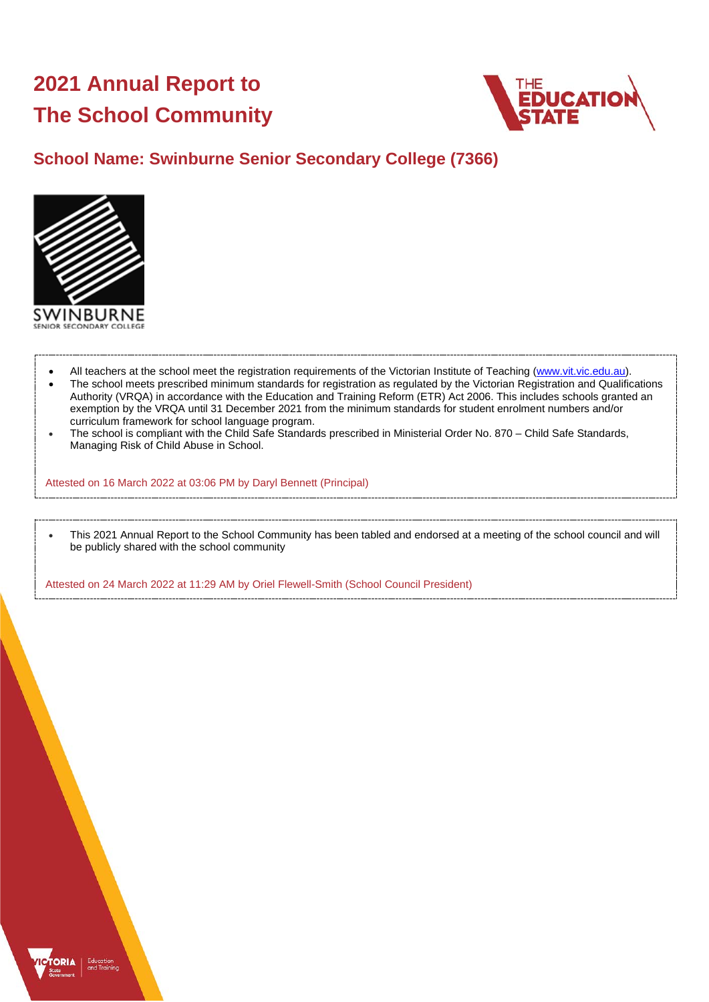# **2021 Annual Report to The School Community**



# **School Name: Swinburne Senior Secondary College (7366)**



ORIA

- All teachers at the school meet the registration requirements of the Victorian Institute of Teaching [\(www.vit.vic.edu.au\)](https://www.vit.vic.edu.au/).
- The school meets prescribed minimum standards for registration as regulated by the Victorian Registration and Qualifications Authority (VRQA) in accordance with the Education and Training Reform (ETR) Act 2006. This includes schools granted an exemption by the VRQA until 31 December 2021 from the minimum standards for student enrolment numbers and/or curriculum framework for school language program.
- The school is compliant with the Child Safe Standards prescribed in Ministerial Order No. 870 Child Safe Standards, Managing Risk of Child Abuse in School.

Attested on 16 March 2022 at 03:06 PM by Daryl Bennett (Principal)

• This 2021 Annual Report to the School Community has been tabled and endorsed at a meeting of the school council and will be publicly shared with the school community

Attested on 24 March 2022 at 11:29 AM by Oriel Flewell-Smith (School Council President)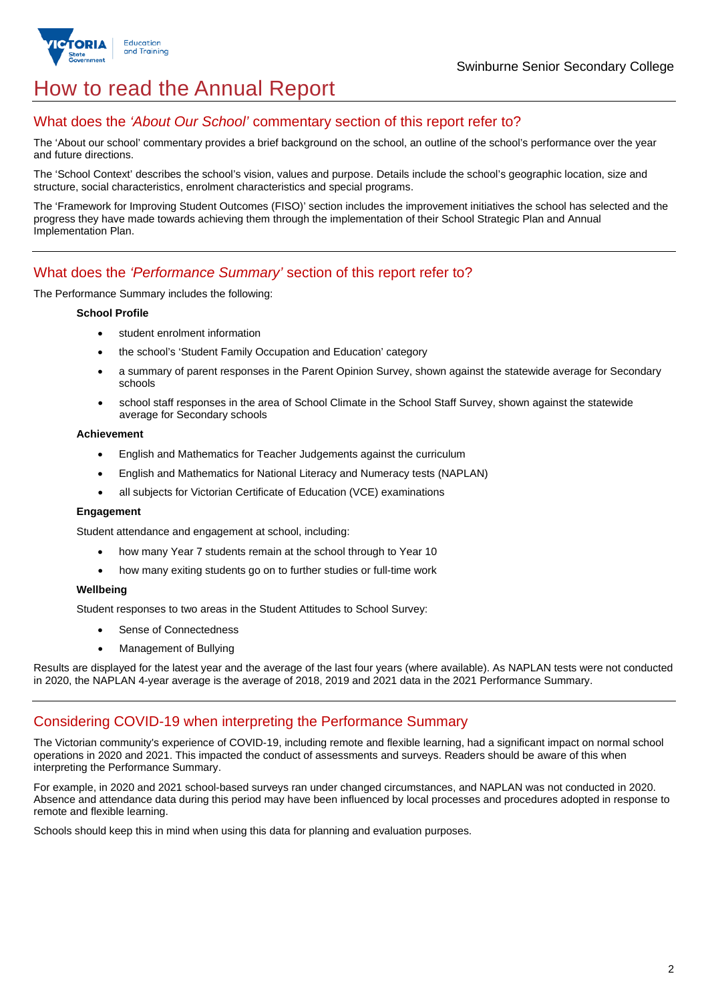

# How to read the Annual Report

## What does the *'About Our School'* commentary section of this report refer to?

The 'About our school' commentary provides a brief background on the school, an outline of the school's performance over the year and future directions.

The 'School Context' describes the school's vision, values and purpose. Details include the school's geographic location, size and structure, social characteristics, enrolment characteristics and special programs.

The 'Framework for Improving Student Outcomes (FISO)' section includes the improvement initiatives the school has selected and the progress they have made towards achieving them through the implementation of their School Strategic Plan and Annual Implementation Plan.

## What does the *'Performance Summary'* section of this report refer to?

The Performance Summary includes the following:

#### **School Profile**

- student enrolment information
- the school's 'Student Family Occupation and Education' category
- a summary of parent responses in the Parent Opinion Survey, shown against the statewide average for Secondary schools
- school staff responses in the area of School Climate in the School Staff Survey, shown against the statewide average for Secondary schools

#### **Achievement**

- English and Mathematics for Teacher Judgements against the curriculum
- English and Mathematics for National Literacy and Numeracy tests (NAPLAN)
- all subjects for Victorian Certificate of Education (VCE) examinations

#### **Engagement**

Student attendance and engagement at school, including:

- how many Year 7 students remain at the school through to Year 10
- how many exiting students go on to further studies or full-time work

#### **Wellbeing**

Student responses to two areas in the Student Attitudes to School Survey:

- Sense of Connectedness
- Management of Bullying

Results are displayed for the latest year and the average of the last four years (where available). As NAPLAN tests were not conducted in 2020, the NAPLAN 4-year average is the average of 2018, 2019 and 2021 data in the 2021 Performance Summary.

### Considering COVID-19 when interpreting the Performance Summary

The Victorian community's experience of COVID-19, including remote and flexible learning, had a significant impact on normal school operations in 2020 and 2021. This impacted the conduct of assessments and surveys. Readers should be aware of this when interpreting the Performance Summary.

For example, in 2020 and 2021 school-based surveys ran under changed circumstances, and NAPLAN was not conducted in 2020. Absence and attendance data during this period may have been influenced by local processes and procedures adopted in response to remote and flexible learning.

Schools should keep this in mind when using this data for planning and evaluation purposes.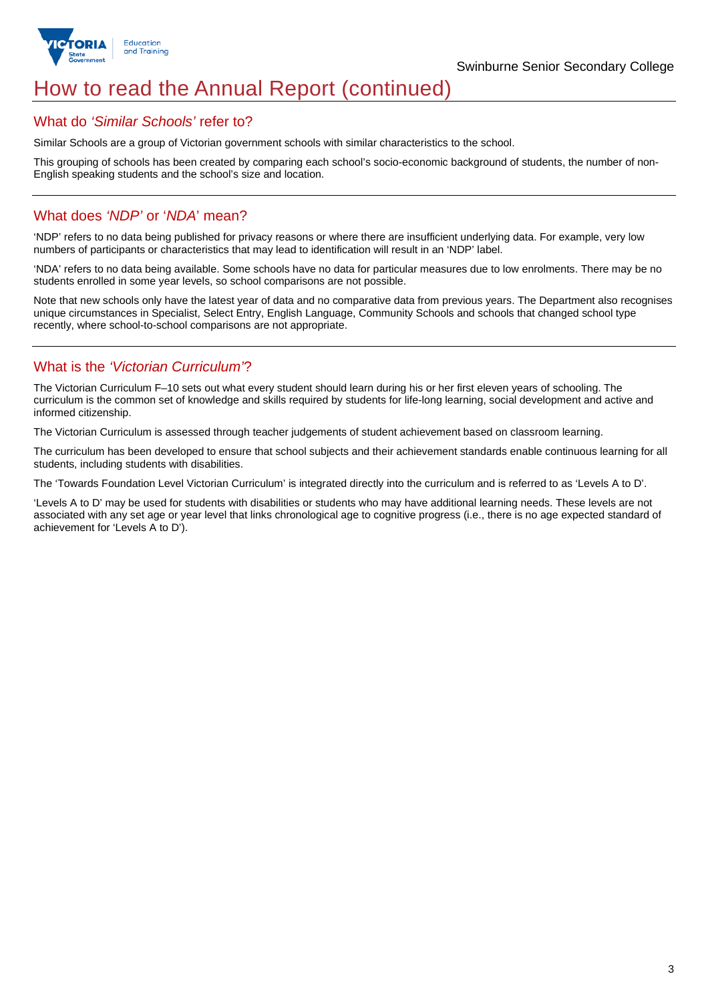

# How to read the Annual Report (continued)

### What do *'Similar Schools'* refer to?

Similar Schools are a group of Victorian government schools with similar characteristics to the school.

This grouping of schools has been created by comparing each school's socio-economic background of students, the number of non-English speaking students and the school's size and location.

## What does *'NDP'* or '*NDA*' mean?

'NDP' refers to no data being published for privacy reasons or where there are insufficient underlying data. For example, very low numbers of participants or characteristics that may lead to identification will result in an 'NDP' label.

'NDA' refers to no data being available. Some schools have no data for particular measures due to low enrolments. There may be no students enrolled in some year levels, so school comparisons are not possible.

Note that new schools only have the latest year of data and no comparative data from previous years. The Department also recognises unique circumstances in Specialist, Select Entry, English Language, Community Schools and schools that changed school type recently, where school-to-school comparisons are not appropriate.

# What is the *'Victorian Curriculum'*?

The Victorian Curriculum F–10 sets out what every student should learn during his or her first eleven years of schooling. The curriculum is the common set of knowledge and skills required by students for life-long learning, social development and active and informed citizenship.

The Victorian Curriculum is assessed through teacher judgements of student achievement based on classroom learning.

The curriculum has been developed to ensure that school subjects and their achievement standards enable continuous learning for all students, including students with disabilities.

The 'Towards Foundation Level Victorian Curriculum' is integrated directly into the curriculum and is referred to as 'Levels A to D'.

'Levels A to D' may be used for students with disabilities or students who may have additional learning needs. These levels are not associated with any set age or year level that links chronological age to cognitive progress (i.e., there is no age expected standard of achievement for 'Levels A to D').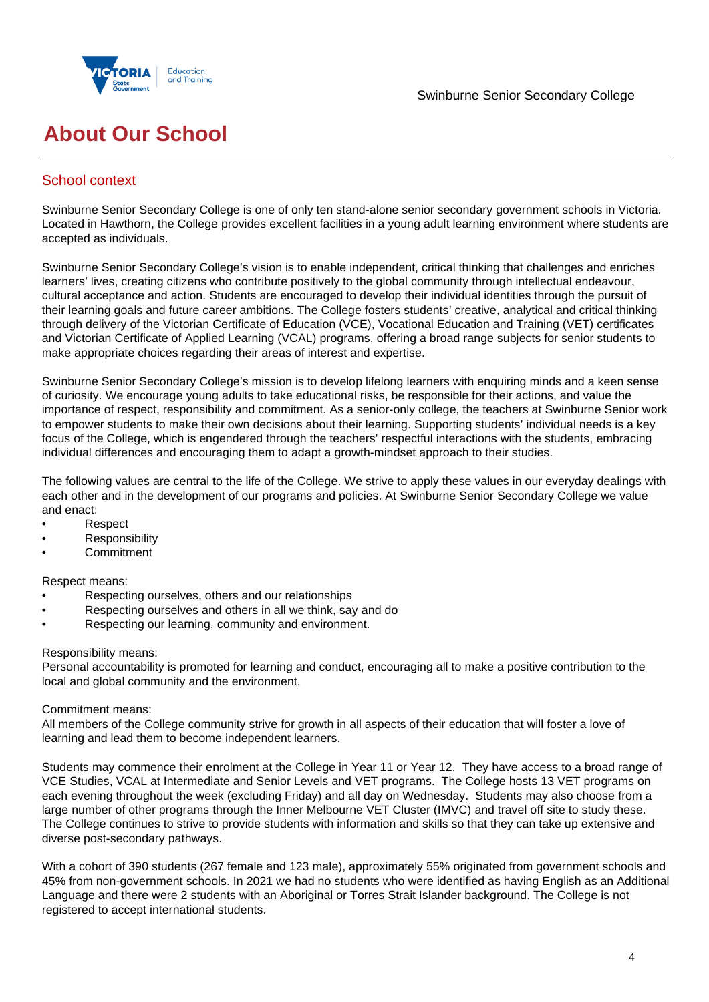



# **About Our School**

## School context

Swinburne Senior Secondary College is one of only ten stand-alone senior secondary government schools in Victoria. Located in Hawthorn, the College provides excellent facilities in a young adult learning environment where students are accepted as individuals.

Swinburne Senior Secondary College's vision is to enable independent, critical thinking that challenges and enriches learners' lives, creating citizens who contribute positively to the global community through intellectual endeavour, cultural acceptance and action. Students are encouraged to develop their individual identities through the pursuit of their learning goals and future career ambitions. The College fosters students' creative, analytical and critical thinking through delivery of the Victorian Certificate of Education (VCE), Vocational Education and Training (VET) certificates and Victorian Certificate of Applied Learning (VCAL) programs, offering a broad range subjects for senior students to make appropriate choices regarding their areas of interest and expertise.

Swinburne Senior Secondary College's mission is to develop lifelong learners with enquiring minds and a keen sense of curiosity. We encourage young adults to take educational risks, be responsible for their actions, and value the importance of respect, responsibility and commitment. As a senior-only college, the teachers at Swinburne Senior work to empower students to make their own decisions about their learning. Supporting students' individual needs is a key focus of the College, which is engendered through the teachers' respectful interactions with the students, embracing individual differences and encouraging them to adapt a growth-mindset approach to their studies.

The following values are central to the life of the College. We strive to apply these values in our everyday dealings with each other and in the development of our programs and policies. At Swinburne Senior Secondary College we value and enact:

- Respect
- **Responsibility**
- Commitment

Respect means:

- Respecting ourselves, others and our relationships
- Respecting ourselves and others in all we think, say and do
- Respecting our learning, community and environment.

#### Responsibility means:

Personal accountability is promoted for learning and conduct, encouraging all to make a positive contribution to the local and global community and the environment.

#### Commitment means:

All members of the College community strive for growth in all aspects of their education that will foster a love of learning and lead them to become independent learners.

Students may commence their enrolment at the College in Year 11 or Year 12. They have access to a broad range of VCE Studies, VCAL at Intermediate and Senior Levels and VET programs. The College hosts 13 VET programs on each evening throughout the week (excluding Friday) and all day on Wednesday. Students may also choose from a large number of other programs through the Inner Melbourne VET Cluster (IMVC) and travel off site to study these. The College continues to strive to provide students with information and skills so that they can take up extensive and diverse post-secondary pathways.

With a cohort of 390 students (267 female and 123 male), approximately 55% originated from government schools and 45% from non-government schools. In 2021 we had no students who were identified as having English as an Additional Language and there were 2 students with an Aboriginal or Torres Strait Islander background. The College is not registered to accept international students.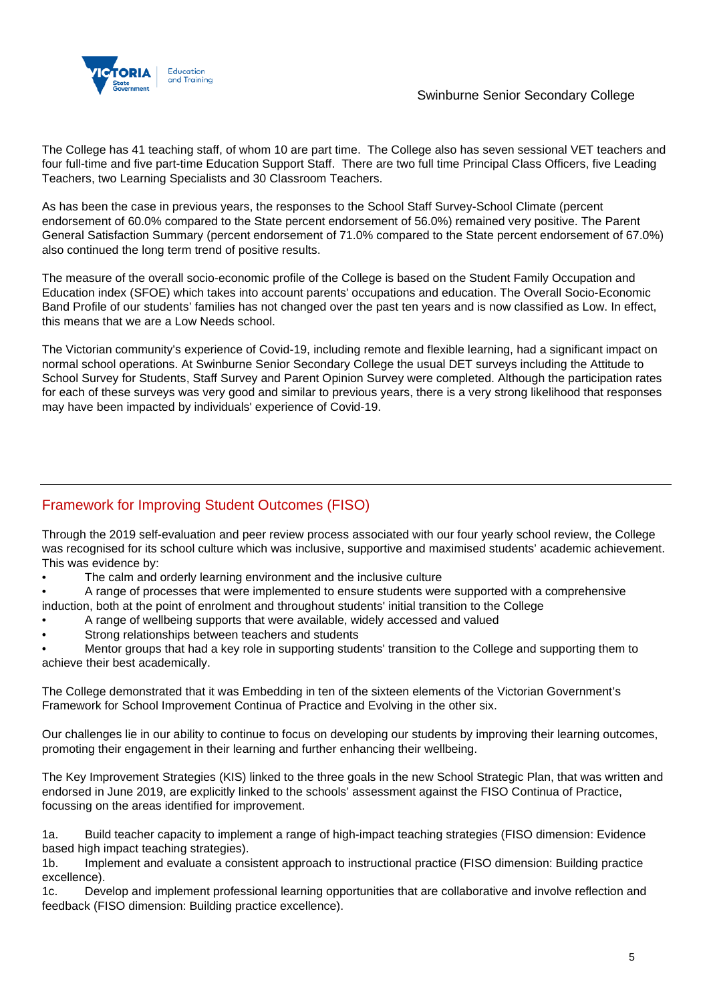

The College has 41 teaching staff, of whom 10 are part time. The College also has seven sessional VET teachers and four full-time and five part-time Education Support Staff. There are two full time Principal Class Officers, five Leading Teachers, two Learning Specialists and 30 Classroom Teachers.

As has been the case in previous years, the responses to the School Staff Survey-School Climate (percent endorsement of 60.0% compared to the State percent endorsement of 56.0%) remained very positive. The Parent General Satisfaction Summary (percent endorsement of 71.0% compared to the State percent endorsement of 67.0%) also continued the long term trend of positive results.

The measure of the overall socio-economic profile of the College is based on the Student Family Occupation and Education index (SFOE) which takes into account parents' occupations and education. The Overall Socio-Economic Band Profile of our students' families has not changed over the past ten years and is now classified as Low. In effect, this means that we are a Low Needs school.

The Victorian community's experience of Covid-19, including remote and flexible learning, had a significant impact on normal school operations. At Swinburne Senior Secondary College the usual DET surveys including the Attitude to School Survey for Students, Staff Survey and Parent Opinion Survey were completed. Although the participation rates for each of these surveys was very good and similar to previous years, there is a very strong likelihood that responses may have been impacted by individuals' experience of Covid-19.

# Framework for Improving Student Outcomes (FISO)

Through the 2019 self-evaluation and peer review process associated with our four yearly school review, the College was recognised for its school culture which was inclusive, supportive and maximised students' academic achievement. This was evidence by:

- The calm and orderly learning environment and the inclusive culture
- A range of processes that were implemented to ensure students were supported with a comprehensive

induction, both at the point of enrolment and throughout students' initial transition to the College

- A range of wellbeing supports that were available, widely accessed and valued
- Strong relationships between teachers and students

• Mentor groups that had a key role in supporting students' transition to the College and supporting them to achieve their best academically.

The College demonstrated that it was Embedding in ten of the sixteen elements of the Victorian Government's Framework for School Improvement Continua of Practice and Evolving in the other six.

Our challenges lie in our ability to continue to focus on developing our students by improving their learning outcomes, promoting their engagement in their learning and further enhancing their wellbeing.

The Key Improvement Strategies (KIS) linked to the three goals in the new School Strategic Plan, that was written and endorsed in June 2019, are explicitly linked to the schools' assessment against the FISO Continua of Practice, focussing on the areas identified for improvement.

1a. Build teacher capacity to implement a range of high-impact teaching strategies (FISO dimension: Evidence based high impact teaching strategies).

1b. Implement and evaluate a consistent approach to instructional practice (FISO dimension: Building practice excellence).

1c. Develop and implement professional learning opportunities that are collaborative and involve reflection and feedback (FISO dimension: Building practice excellence).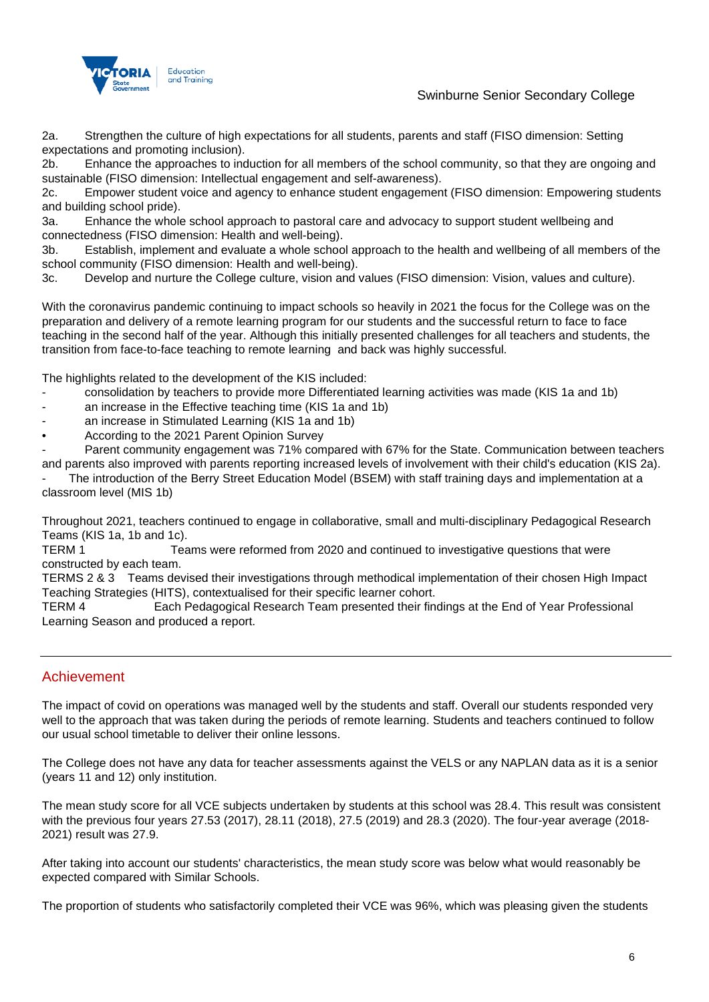

## Swinburne Senior Secondary College

2a. Strengthen the culture of high expectations for all students, parents and staff (FISO dimension: Setting expectations and promoting inclusion).

2b. Enhance the approaches to induction for all members of the school community, so that they are ongoing and sustainable (FISO dimension: Intellectual engagement and self-awareness).

2c. Empower student voice and agency to enhance student engagement (FISO dimension: Empowering students and building school pride).

3a. Enhance the whole school approach to pastoral care and advocacy to support student wellbeing and connectedness (FISO dimension: Health and well-being).

3b. Establish, implement and evaluate a whole school approach to the health and wellbeing of all members of the school community (FISO dimension: Health and well-being).

3c. Develop and nurture the College culture, vision and values (FISO dimension: Vision, values and culture).

With the coronavirus pandemic continuing to impact schools so heavily in 2021 the focus for the College was on the preparation and delivery of a remote learning program for our students and the successful return to face to face teaching in the second half of the year. Although this initially presented challenges for all teachers and students, the transition from face-to-face teaching to remote learning and back was highly successful.

The highlights related to the development of the KIS included:

- consolidation by teachers to provide more Differentiated learning activities was made (KIS 1a and 1b)
- an increase in the Effective teaching time (KIS 1a and 1b)
- an increase in Stimulated Learning (KIS 1a and 1b)
- According to the 2021 Parent Opinion Survey

Parent community engagement was 71% compared with 67% for the State. Communication between teachers and parents also improved with parents reporting increased levels of involvement with their child's education (KIS 2a).

The introduction of the Berry Street Education Model (BSEM) with staff training days and implementation at a classroom level (MIS 1b)

Throughout 2021, teachers continued to engage in collaborative, small and multi-disciplinary Pedagogical Research Teams (KIS 1a, 1b and 1c).

TERM 1 Teams were reformed from 2020 and continued to investigative questions that were constructed by each team.

TERMS 2 & 3 Teams devised their investigations through methodical implementation of their chosen High Impact Teaching Strategies (HITS), contextualised for their specific learner cohort.

TERM 4 Each Pedagogical Research Team presented their findings at the End of Year Professional Learning Season and produced a report.

### Achievement

The impact of covid on operations was managed well by the students and staff. Overall our students responded very well to the approach that was taken during the periods of remote learning. Students and teachers continued to follow our usual school timetable to deliver their online lessons.

The College does not have any data for teacher assessments against the VELS or any NAPLAN data as it is a senior (years 11 and 12) only institution.

The mean study score for all VCE subjects undertaken by students at this school was 28.4. This result was consistent with the previous four years 27.53 (2017), 28.11 (2018), 27.5 (2019) and 28.3 (2020). The four-year average (2018- 2021) result was 27.9.

After taking into account our students' characteristics, the mean study score was below what would reasonably be expected compared with Similar Schools.

The proportion of students who satisfactorily completed their VCE was 96%, which was pleasing given the students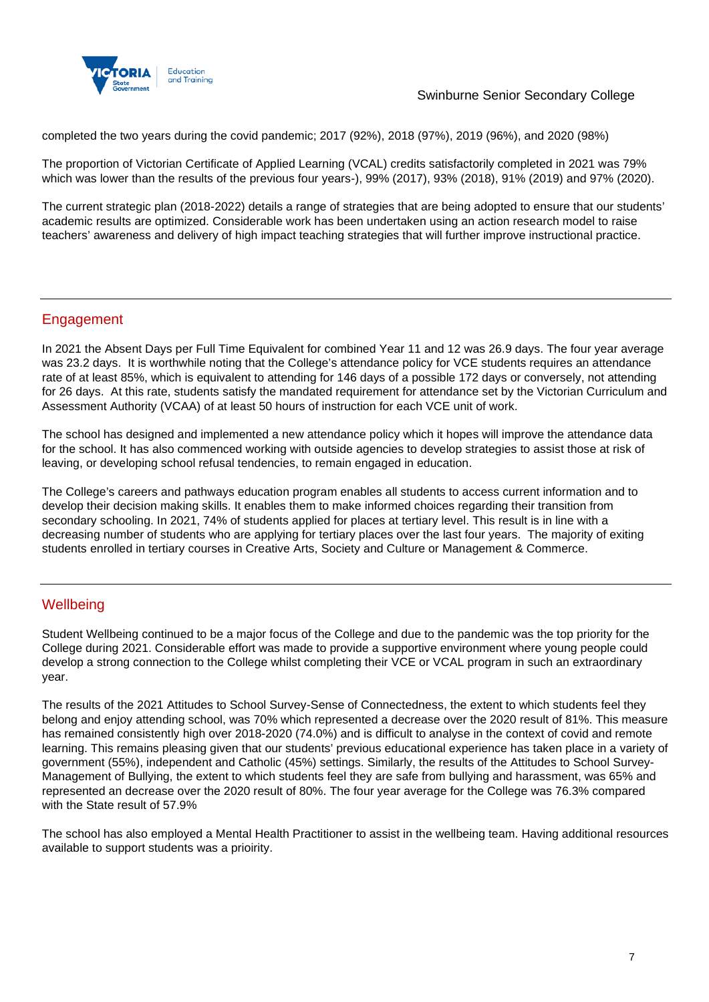

### Swinburne Senior Secondary College

completed the two years during the covid pandemic; 2017 (92%), 2018 (97%), 2019 (96%), and 2020 (98%)

The proportion of Victorian Certificate of Applied Learning (VCAL) credits satisfactorily completed in 2021 was 79% which was lower than the results of the previous four years-), 99% (2017), 93% (2018), 91% (2019) and 97% (2020).

The current strategic plan (2018-2022) details a range of strategies that are being adopted to ensure that our students' academic results are optimized. Considerable work has been undertaken using an action research model to raise teachers' awareness and delivery of high impact teaching strategies that will further improve instructional practice.

## Engagement

In 2021 the Absent Days per Full Time Equivalent for combined Year 11 and 12 was 26.9 days. The four year average was 23.2 days. It is worthwhile noting that the College's attendance policy for VCE students requires an attendance rate of at least 85%, which is equivalent to attending for 146 days of a possible 172 days or conversely, not attending for 26 days. At this rate, students satisfy the mandated requirement for attendance set by the Victorian Curriculum and Assessment Authority (VCAA) of at least 50 hours of instruction for each VCE unit of work.

The school has designed and implemented a new attendance policy which it hopes will improve the attendance data for the school. It has also commenced working with outside agencies to develop strategies to assist those at risk of leaving, or developing school refusal tendencies, to remain engaged in education.

The College's careers and pathways education program enables all students to access current information and to develop their decision making skills. It enables them to make informed choices regarding their transition from secondary schooling. In 2021, 74% of students applied for places at tertiary level. This result is in line with a decreasing number of students who are applying for tertiary places over the last four years. The majority of exiting students enrolled in tertiary courses in Creative Arts, Society and Culture or Management & Commerce.

### **Wellbeing**

Student Wellbeing continued to be a major focus of the College and due to the pandemic was the top priority for the College during 2021. Considerable effort was made to provide a supportive environment where young people could develop a strong connection to the College whilst completing their VCE or VCAL program in such an extraordinary year.

The results of the 2021 Attitudes to School Survey-Sense of Connectedness, the extent to which students feel they belong and enjoy attending school, was 70% which represented a decrease over the 2020 result of 81%. This measure has remained consistently high over 2018-2020 (74.0%) and is difficult to analyse in the context of covid and remote learning. This remains pleasing given that our students' previous educational experience has taken place in a variety of government (55%), independent and Catholic (45%) settings. Similarly, the results of the Attitudes to School Survey-Management of Bullying, the extent to which students feel they are safe from bullying and harassment, was 65% and represented an decrease over the 2020 result of 80%. The four year average for the College was 76.3% compared with the State result of 57.9%

The school has also employed a Mental Health Practitioner to assist in the wellbeing team. Having additional resources available to support students was a prioirity.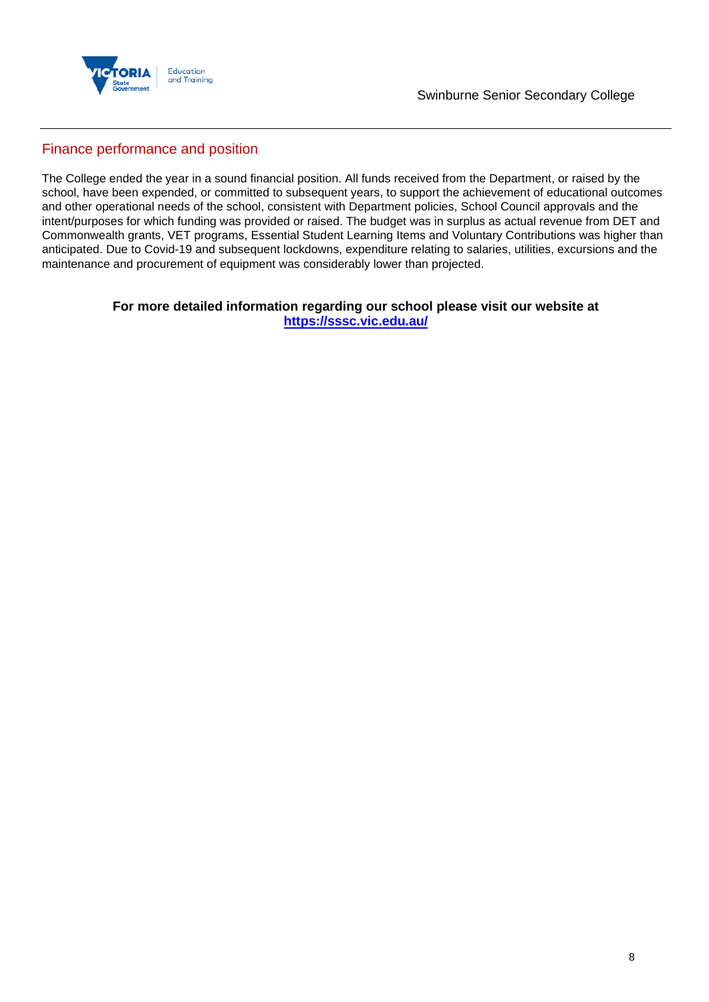

## Finance performance and position

The College ended the year in a sound financial position. All funds received from the Department, or raised by the school, have been expended, or committed to subsequent years, to support the achievement of educational outcomes and other operational needs of the school, consistent with Department policies, School Council approvals and the intent/purposes for which funding was provided or raised. The budget was in surplus as actual revenue from DET and Commonwealth grants, VET programs, Essential Student Learning Items and Voluntary Contributions was higher than anticipated. Due to Covid-19 and subsequent lockdowns, expenditure relating to salaries, utilities, excursions and the maintenance and procurement of equipment was considerably lower than projected.

#### **For more detailed information regarding our school please visit our website at <https://sssc.vic.edu.au/>**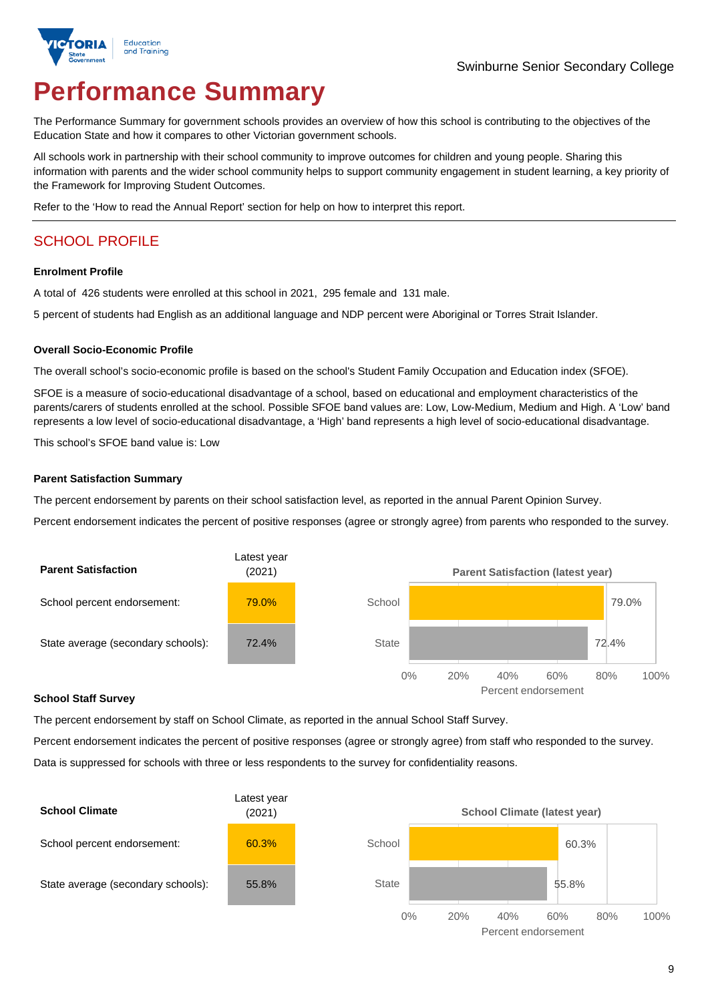

# **Performance Summary**

The Performance Summary for government schools provides an overview of how this school is contributing to the objectives of the Education State and how it compares to other Victorian government schools.

All schools work in partnership with their school community to improve outcomes for children and young people. Sharing this information with parents and the wider school community helps to support community engagement in student learning, a key priority of the Framework for Improving Student Outcomes.

Refer to the 'How to read the Annual Report' section for help on how to interpret this report.

# SCHOOL PROFILE

#### **Enrolment Profile**

A total of 426 students were enrolled at this school in 2021, 295 female and 131 male.

5 percent of students had English as an additional language and NDP percent were Aboriginal or Torres Strait Islander.

#### **Overall Socio-Economic Profile**

The overall school's socio-economic profile is based on the school's Student Family Occupation and Education index (SFOE).

SFOE is a measure of socio-educational disadvantage of a school, based on educational and employment characteristics of the parents/carers of students enrolled at the school. Possible SFOE band values are: Low, Low-Medium, Medium and High. A 'Low' band represents a low level of socio-educational disadvantage, a 'High' band represents a high level of socio-educational disadvantage.

This school's SFOE band value is: Low

#### **Parent Satisfaction Summary**

The percent endorsement by parents on their school satisfaction level, as reported in the annual Parent Opinion Survey.

Percent endorsement indicates the percent of positive responses (agree or strongly agree) from parents who responded to the survey.



#### **School Staff Survey**

The percent endorsement by staff on School Climate, as reported in the annual School Staff Survey.

Percent endorsement indicates the percent of positive responses (agree or strongly agree) from staff who responded to the survey. Data is suppressed for schools with three or less respondents to the survey for confidentiality reasons.

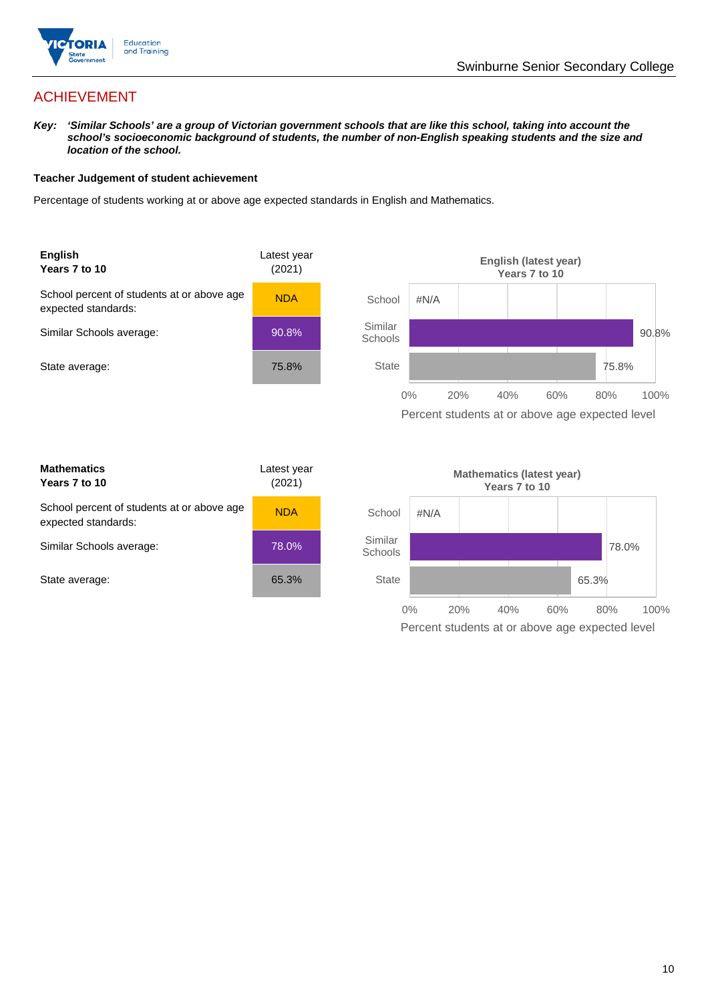

65.3%

0% 20% 40% 60% 80% 100%

Percent students at or above age expected level

# ACHIEVEMENT

*Key: 'Similar Schools' are a group of Victorian government schools that are like this school, taking into account the*  school's socioeconomic background of students, the number of non-English speaking students and the size and *location of the school.*

#### **Teacher Judgement of student achievement**

Percentage of students working at or above age expected standards in English and Mathematics.



**State** 

State average:

| 65.3% |
|-------|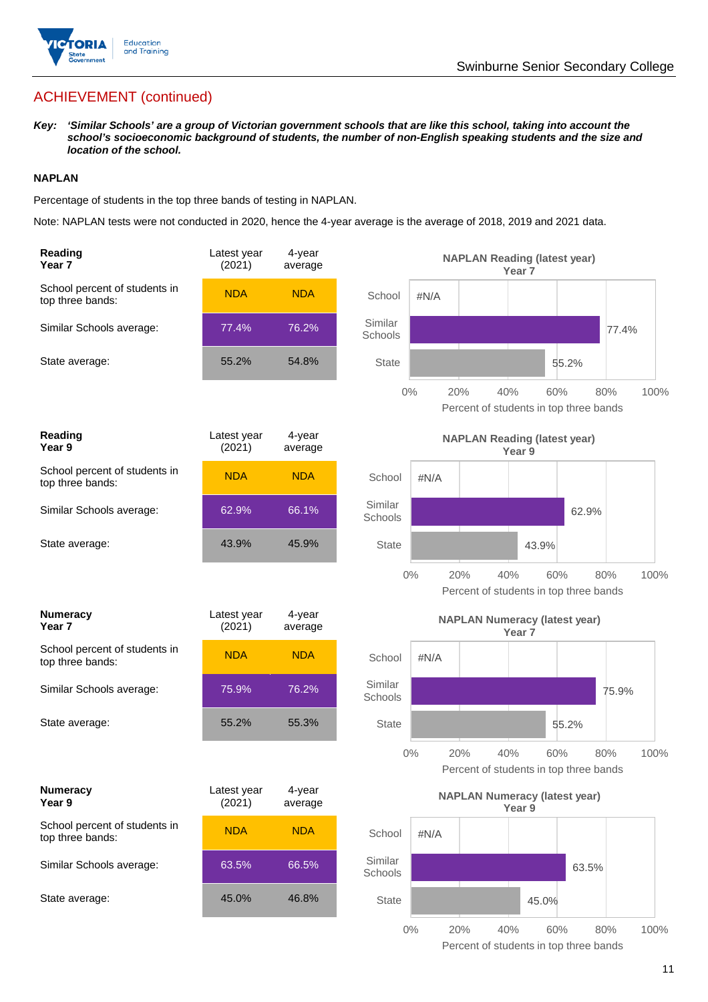

# ACHIEVEMENT (continued)

*Key: 'Similar Schools' are a group of Victorian government schools that are like this school, taking into account the school's socioeconomic background of students, the number of non-English speaking students and the size and location of the school.*

#### **NAPLAN**

Percentage of students in the top three bands of testing in NAPLAN.

Note: NAPLAN tests were not conducted in 2020, hence the 4-year average is the average of 2018, 2019 and 2021 data.

| Reading<br>Year 7                                 | Latest year<br>(2021) | 4-year<br>average |                    |         | <b>NAPLAN Reading (latest year)</b>                  | Year <sub>7</sub> |       |       |      |
|---------------------------------------------------|-----------------------|-------------------|--------------------|---------|------------------------------------------------------|-------------------|-------|-------|------|
| School percent of students in<br>top three bands: | <b>NDA</b>            | <b>NDA</b>        | School             | #N/A    |                                                      |                   |       |       |      |
| Similar Schools average:                          | 77.4%                 | 76.2%             | Similar<br>Schools |         |                                                      |                   |       | 77.4% |      |
| State average:                                    | 55.2%                 | 54.8%             | <b>State</b>       |         |                                                      |                   | 55.2% |       |      |
|                                                   |                       |                   |                    | $0\%$   | 40%<br>20%<br>Percent of students in top three bands | 60%               |       | 80%   | 100% |
| Reading<br>Year 9                                 | Latest year<br>(2021) | 4-year<br>average |                    |         | <b>NAPLAN Reading (latest year)</b>                  | Year 9            |       |       |      |
| School percent of students in<br>top three bands: | <b>NDA</b>            | <b>NDA</b>        | School             | $\#N/A$ |                                                      |                   |       |       |      |
| Similar Schools average:                          | 62.9%                 | 66.1%             | Similar<br>Schools |         |                                                      |                   | 62.9% |       |      |
| State average:                                    | 43.9%                 | 45.9%             | <b>State</b>       |         |                                                      | 43.9%             |       |       |      |
|                                                   |                       |                   |                    | $0\%$   | 20%<br>40%<br>Percent of students in top three bands |                   | 60%   | 80%   | 100% |
| <b>Numeracy</b><br>Year <sub>7</sub>              | Latest year<br>(2021) | 4-year<br>average |                    |         | <b>NAPLAN Numeracy (latest year)</b>                 | Year <sub>7</sub> |       |       |      |
| School percent of students in<br>top three bands: | <b>NDA</b>            | <b>NDA</b>        | School             | #N/A    |                                                      |                   |       |       |      |
| Similar Schools average:                          | 75.9%                 | 76.2%             | Similar<br>Schools |         |                                                      |                   |       | 75.9% |      |
| State average:                                    | 55.2%                 | 55.3%             | <b>State</b>       |         |                                                      |                   | 55.2% |       |      |
|                                                   |                       |                   |                    | $0\%$   | 20%<br>40%<br>Percent of students in top three bands |                   | 60%   | 80%   | 100% |
| <b>Numeracy</b><br>Year 9                         | Latest year<br>(2021) | 4-year<br>average |                    |         | <b>NAPLAN Numeracy (latest year)</b>                 | Year 9            |       |       |      |
| School percent of students in<br>top three bands: | <b>NDA</b>            | <b>NDA</b>        | School             | #N/A    |                                                      |                   |       |       |      |
| Similar Schools average:                          | 63.5%                 | 66.5%             | Similar<br>Schools |         |                                                      |                   | 63.5% |       |      |
| State average:                                    | 45.0%                 | 46.8%             | <b>State</b>       |         |                                                      | 45.0%             |       |       |      |
|                                                   |                       |                   |                    |         |                                                      |                   |       |       |      |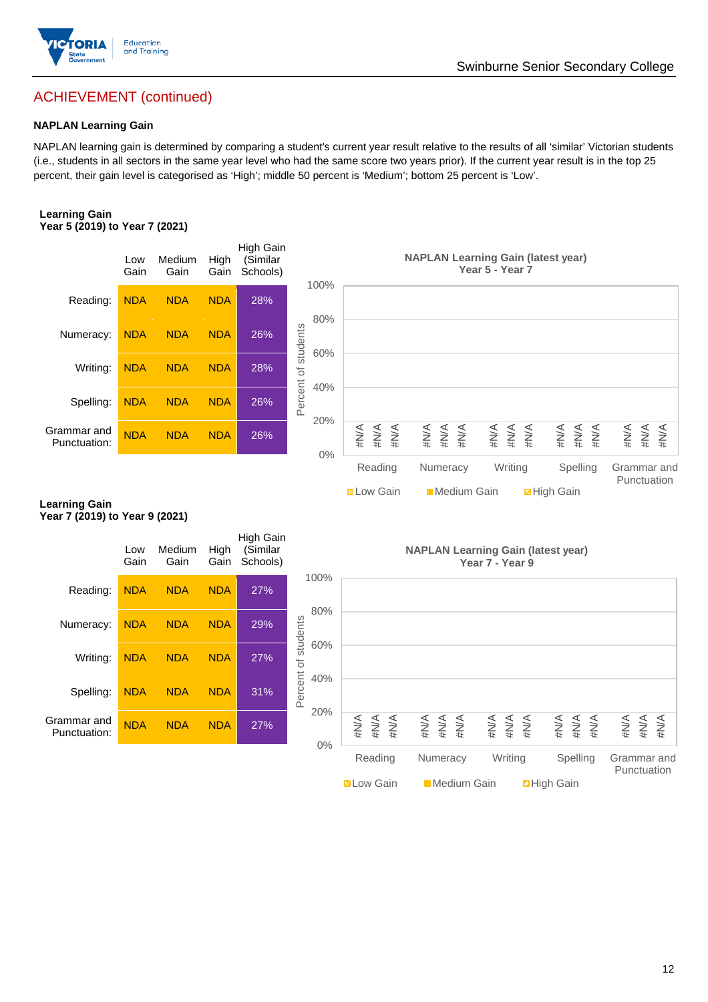

## Swinburne Senior Secondary College

# ACHIEVEMENT (continued)

#### **NAPLAN Learning Gain**

NAPLAN learning gain is determined by comparing a student's current year result relative to the results of all 'similar' Victorian students (i.e., students in all sectors in the same year level who had the same score two years prior). If the current year result is in the top 25 percent, their gain level is categorised as 'High'; middle 50 percent is 'Medium'; bottom 25 percent is 'Low'.

#### **Learning Gain Year 5 (2019) to Year 7 (2021)**



**N** Low Gain **H** Medium Gain **High Gain** 

#### **Learning Gain Year 7 (2019) to Year 9 (2021)**

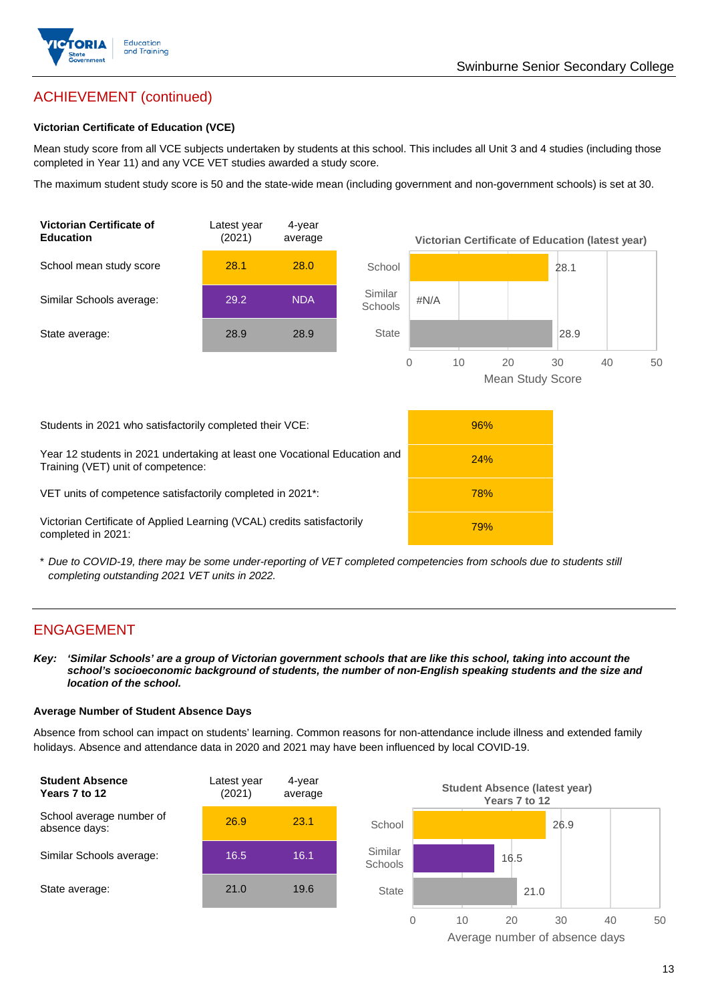

# ACHIEVEMENT (continued)

#### **Victorian Certificate of Education (VCE)**

Mean study score from all VCE subjects undertaken by students at this school. This includes all Unit 3 and 4 studies (including those completed in Year 11) and any VCE VET studies awarded a study score.

The maximum student study score is 50 and the state-wide mean (including government and non-government schools) is set at 30.



\* *Due to COVID-19, there may be some under-reporting of VET completed competencies from schools due to students still completing outstanding 2021 VET units in 2022.*

## ENGAGEMENT

*Key: 'Similar Schools' are a group of Victorian government schools that are like this school, taking into account the school's socioeconomic background of students, the number of non-English speaking students and the size and location of the school.*

#### **Average Number of Student Absence Days**

Absence from school can impact on students' learning. Common reasons for non-attendance include illness and extended family holidays. Absence and attendance data in 2020 and 2021 may have been influenced by local COVID-19.



Average number of absence days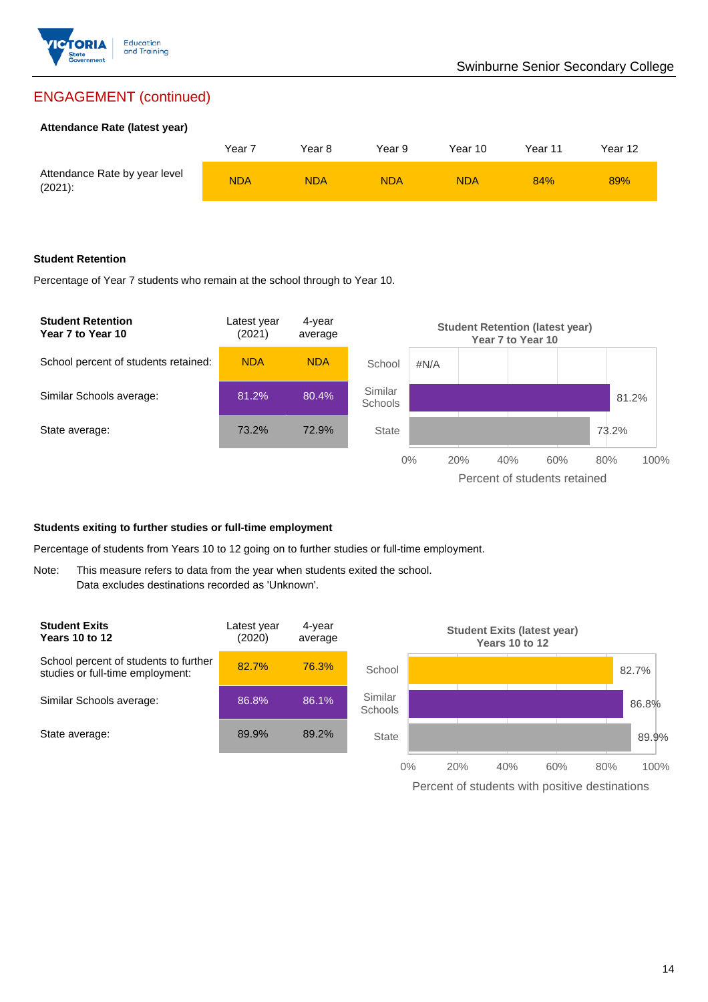

# ENGAGEMENT (continued)

#### **Attendance Rate (latest year)**

|                                             | Year 7 | Year 8     | Year 9     | Year 10    | Year 11 | Year 12 |
|---------------------------------------------|--------|------------|------------|------------|---------|---------|
| Attendance Rate by year level<br>$(2021)$ : | NDA    | <b>NDA</b> | <b>NDA</b> | <b>NDA</b> | 84%     | 89%     |

#### **Student Retention**

Percentage of Year 7 students who remain at the school through to Year 10.



#### **Students exiting to further studies or full-time employment**

Percentage of students from Years 10 to 12 going on to further studies or full-time employment.

Note: This measure refers to data from the year when students exited the school. Data excludes destinations recorded as 'Unknown'.

![](_page_13_Figure_11.jpeg)

Percent of students with positive destinations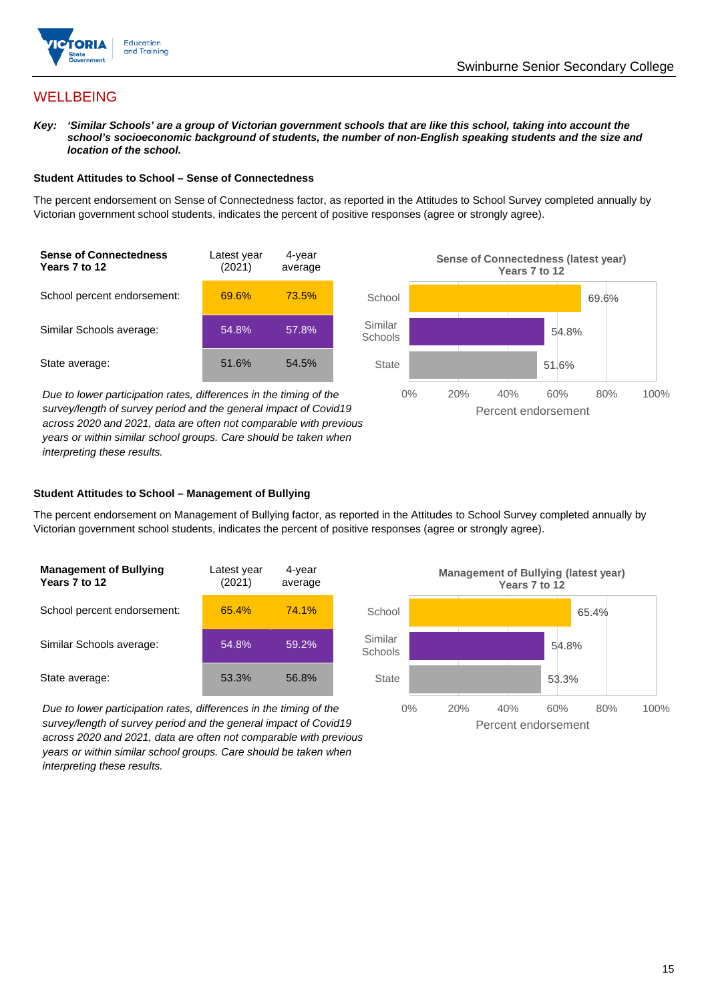![](_page_14_Picture_0.jpeg)

## **WELLBEING**

*Key: 'Similar Schools' are a group of Victorian government schools that are like this school, taking into account the*  school's socioeconomic background of students, the number of non-English speaking students and the size and *location of the school.*

#### **Student Attitudes to School – Sense of Connectedness**

The percent endorsement on Sense of Connectedness factor, as reported in the Attitudes to School Survey completed annually by Victorian government school students, indicates the percent of positive responses (agree or strongly agree).

![](_page_14_Figure_6.jpeg)

*Due to lower participation rates, differences in the timing of the survey/length of survey period and the general impact of Covid19 across 2020 and 2021, data are often not comparable with previous years or within similar school groups. Care should be taken when interpreting these results.*

![](_page_14_Figure_8.jpeg)

#### **Student Attitudes to School – Management of Bullying**

The percent endorsement on Management of Bullying factor, as reported in the Attitudes to School Survey completed annually by Victorian government school students, indicates the percent of positive responses (agree or strongly agree).

| <b>Management of Bullying</b><br>Years 7 to 12 | Latest year<br>(2021) | 4-year<br>average |  |
|------------------------------------------------|-----------------------|-------------------|--|
| School percent endorsement:                    | 65.4%                 | 74.1%             |  |
| Similar Schools average:                       | 54.8%                 | 59.2%             |  |
| State average:                                 | 53.3%                 | 56.8%             |  |

*Due to lower participation rates, differences in the timing of the survey/length of survey period and the general impact of Covid19 across 2020 and 2021, data are often not comparable with previous years or within similar school groups. Care should be taken when interpreting these results.*

![](_page_14_Figure_13.jpeg)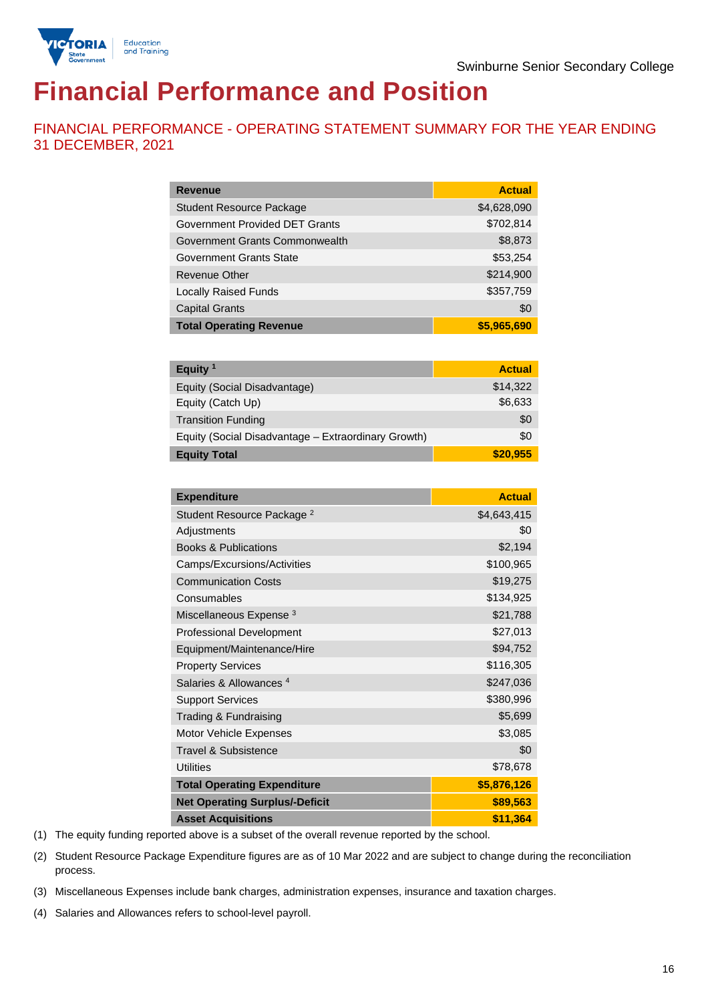![](_page_15_Picture_0.jpeg)

# **Financial Performance and Position**

FINANCIAL PERFORMANCE - OPERATING STATEMENT SUMMARY FOR THE YEAR ENDING 31 DECEMBER, 2021

| <b>Revenue</b>                  | <b>Actual</b> |
|---------------------------------|---------------|
| <b>Student Resource Package</b> | \$4,628,090   |
| Government Provided DET Grants  | \$702,814     |
| Government Grants Commonwealth  | \$8,873       |
| <b>Government Grants State</b>  | \$53,254      |
| <b>Revenue Other</b>            | \$214,900     |
| <b>Locally Raised Funds</b>     | \$357,759     |
| <b>Capital Grants</b>           | \$0           |
| <b>Total Operating Revenue</b>  | \$5,965,690   |

| Equity $1$                                          | <b>Actual</b> |
|-----------------------------------------------------|---------------|
| Equity (Social Disadvantage)                        | \$14,322      |
| Equity (Catch Up)                                   | \$6,633       |
| <b>Transition Funding</b>                           | \$0           |
| Equity (Social Disadvantage - Extraordinary Growth) | \$0           |
| <b>Equity Total</b>                                 | \$20,955      |

| <b>Expenditure</b>                    | <b>Actual</b> |
|---------------------------------------|---------------|
| Student Resource Package <sup>2</sup> | \$4,643,415   |
| Adjustments                           | \$0           |
| <b>Books &amp; Publications</b>       | \$2,194       |
| Camps/Excursions/Activities           | \$100,965     |
| <b>Communication Costs</b>            | \$19,275      |
| Consumables                           | \$134,925     |
| Miscellaneous Expense <sup>3</sup>    | \$21,788      |
| <b>Professional Development</b>       | \$27,013      |
| Equipment/Maintenance/Hire            | \$94,752      |
| <b>Property Services</b>              | \$116,305     |
| Salaries & Allowances <sup>4</sup>    | \$247,036     |
| <b>Support Services</b>               | \$380,996     |
| Trading & Fundraising                 | \$5,699       |
| Motor Vehicle Expenses                | \$3,085       |
| Travel & Subsistence                  | \$0           |
| <b>Utilities</b>                      | \$78,678      |
| <b>Total Operating Expenditure</b>    | \$5,876,126   |
| <b>Net Operating Surplus/-Deficit</b> | \$89,563      |
| <b>Asset Acquisitions</b>             | \$11,364      |

(1) The equity funding reported above is a subset of the overall revenue reported by the school.

(2) Student Resource Package Expenditure figures are as of 10 Mar 2022 and are subject to change during the reconciliation process.

(3) Miscellaneous Expenses include bank charges, administration expenses, insurance and taxation charges.

(4) Salaries and Allowances refers to school-level payroll.